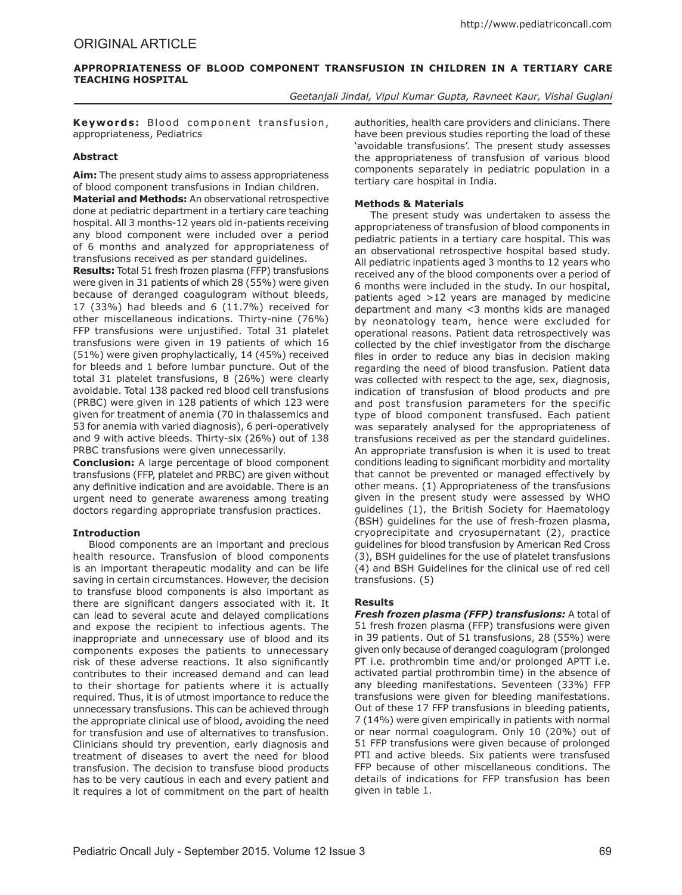# **Appropriateness of Blood component transfusion in children in a tertiary care teaching hospital**

*Geetanjali Jindal, Vipul Kumar Gupta, Ravneet Kaur, Vishal Guglani*

Keywords: Blood component transfusion, appropriateness, Pediatrics

## **Abstract**

**Aim:** The present study aims to assess appropriateness of blood component transfusions in Indian children.

**Material and Methods:** An observational retrospective done at pediatric department in a tertiary care teaching hospital. All 3 months-12 years old in-patients receiving any blood component were included over a period of 6 months and analyzed for appropriateness of transfusions received as per standard guidelines.

**Results:** Total 51 fresh frozen plasma (FFP) transfusions were given in 31 patients of which 28 (55%) were given because of deranged coagulogram without bleeds, 17 (33%) had bleeds and 6 (11.7%) received for other miscellaneous indications. Thirty-nine (76%) FFP transfusions were unjustified. Total 31 platelet transfusions were given in 19 patients of which 16 (51%) were given prophylactically, 14 (45%) received for bleeds and 1 before lumbar puncture. Out of the total 31 platelet transfusions, 8 (26%) were clearly avoidable. Total 138 packed red blood cell transfusions (PRBC) were given in 128 patients of which 123 were given for treatment of anemia (70 in thalassemics and 53 for anemia with varied diagnosis), 6 peri-operatively and 9 with active bleeds. Thirty-six (26%) out of 138 PRBC transfusions were given unnecessarily.

**Conclusion:** A large percentage of blood component transfusions (FFP, platelet and PRBC) are given without any definitive indication and are avoidable. There is an urgent need to generate awareness among treating doctors regarding appropriate transfusion practices.

# **Introduction**

Blood components are an important and precious health resource. Transfusion of blood components is an important therapeutic modality and can be life saving in certain circumstances. However, the decision to transfuse blood components is also important as there are significant dangers associated with it. It can lead to several acute and delayed complications and expose the recipient to infectious agents. The inappropriate and unnecessary use of blood and its components exposes the patients to unnecessary risk of these adverse reactions. It also significantly contributes to their increased demand and can lead to their shortage for patients where it is actually required. Thus, it is of utmost importance to reduce the unnecessary transfusions. This can be achieved through the appropriate clinical use of blood, avoiding the need for transfusion and use of alternatives to transfusion. Clinicians should try prevention, early diagnosis and treatment of diseases to avert the need for blood transfusion. The decision to transfuse blood products has to be very cautious in each and every patient and it requires a lot of commitment on the part of health authorities, health care providers and clinicians. There have been previous studies reporting the load of these 'avoidable transfusions'. The present study assesses the appropriateness of transfusion of various blood components separately in pediatric population in a tertiary care hospital in India.

## **Methods & Materials**

The present study was undertaken to assess the appropriateness of transfusion of blood components in pediatric patients in a tertiary care hospital. This was an observational retrospective hospital based study. All pediatric inpatients aged 3 months to 12 years who received any of the blood components over a period of 6 months were included in the study. In our hospital, patients aged >12 years are managed by medicine department and many <3 months kids are managed by neonatology team, hence were excluded for operational reasons. Patient data retrospectively was collected by the chief investigator from the discharge files in order to reduce any bias in decision making regarding the need of blood transfusion. Patient data was collected with respect to the age, sex, diagnosis, indication of transfusion of blood products and pre and post transfusion parameters for the specific type of blood component transfused. Each patient was separately analysed for the appropriateness of transfusions received as per the standard guidelines. An appropriate transfusion is when it is used to treat conditions leading to significant morbidity and mortality that cannot be prevented or managed effectively by other means. (1) Appropriateness of the transfusions given in the present study were assessed by WHO guidelines (1), the British Society for Haematology (BSH) guidelines for the use of fresh-frozen plasma, cryoprecipitate and cryosupernatant (2), practice guidelines for blood transfusion by American Red Cross (3), BSH guidelines for the use of platelet transfusions (4) and BSH Guidelines for the clinical use of red cell transfusions. (5)

# **Results**

*Fresh frozen plasma (FFP) transfusions:* A total of 51 fresh frozen plasma (FFP) transfusions were given in 39 patients. Out of 51 transfusions, 28 (55%) were given only because of deranged coagulogram (prolonged PT i.e. prothrombin time and/or prolonged APTT i.e. activated partial prothrombin time) in the absence of any bleeding manifestations. Seventeen (33%) FFP transfusions were given for bleeding manifestations. Out of these 17 FFP transfusions in bleeding patients, 7 (14%) were given empirically in patients with normal or near normal coagulogram. Only 10 (20%) out of 51 FFP transfusions were given because of prolonged PTI and active bleeds. Six patients were transfused FFP because of other miscellaneous conditions. The details of indications for FFP transfusion has been given in table 1.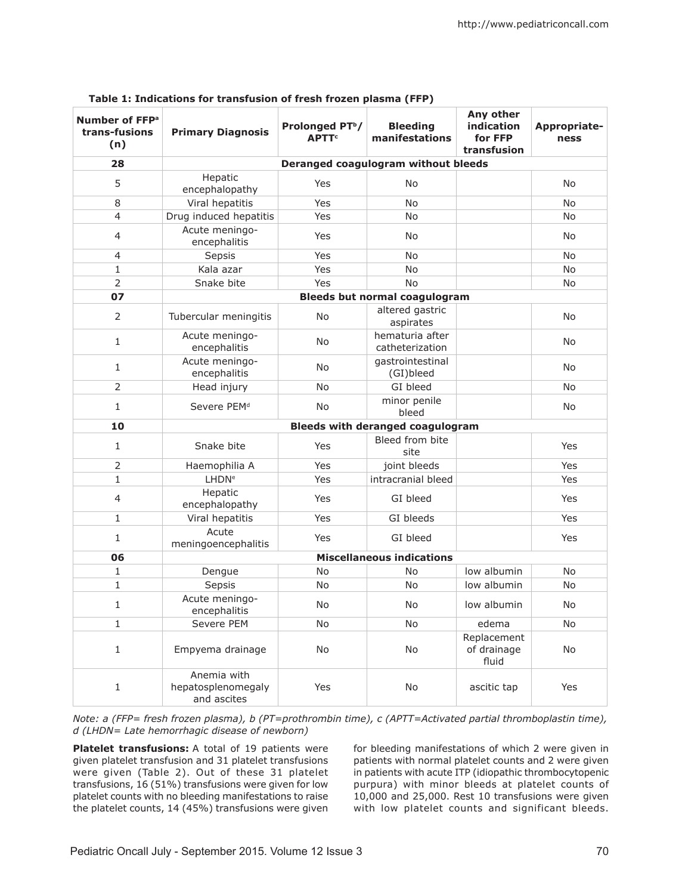| Number of FFP <sup>a</sup><br>trans-fusions<br>(n) | <b>Primary Diagnosis</b>                         | Prolonged PT <sup>b</sup> /<br><b>APTT<sup>c</sup></b> | <b>Bleeding</b><br>manifestations       | Any other<br>indication<br>for FFP<br>transfusion | Appropriate-<br>ness |  |  |
|----------------------------------------------------|--------------------------------------------------|--------------------------------------------------------|-----------------------------------------|---------------------------------------------------|----------------------|--|--|
| 28                                                 | Deranged coagulogram without bleeds              |                                                        |                                         |                                                   |                      |  |  |
| 5                                                  | Hepatic<br>encephalopathy                        | Yes                                                    | No                                      |                                                   | <b>No</b>            |  |  |
| 8                                                  | Viral hepatitis                                  | Yes                                                    | <b>No</b>                               |                                                   | <b>No</b>            |  |  |
| $\overline{4}$                                     | Drug induced hepatitis                           | Yes                                                    | <b>No</b>                               |                                                   | <b>No</b>            |  |  |
| $\overline{4}$                                     | Acute meningo-<br>encephalitis                   | Yes                                                    | No                                      |                                                   | No                   |  |  |
| $\overline{4}$                                     | Sepsis                                           | Yes                                                    | <b>No</b>                               |                                                   | <b>No</b>            |  |  |
| $\mathbf{1}$                                       | Kala azar                                        | Yes                                                    | No                                      |                                                   | <b>No</b>            |  |  |
| $\overline{2}$                                     | Snake bite                                       | Yes                                                    | <b>No</b>                               |                                                   | No                   |  |  |
| 07                                                 |                                                  |                                                        | <b>Bleeds but normal coagulogram</b>    |                                                   |                      |  |  |
| $\overline{2}$                                     | Tubercular meningitis                            | <b>No</b>                                              | altered gastric<br>aspirates            |                                                   | <b>No</b>            |  |  |
| $\mathbf{1}$                                       | Acute meningo-<br>encephalitis                   | <b>No</b>                                              | hematuria after<br>catheterization      |                                                   | No                   |  |  |
| $\mathbf{1}$                                       | Acute meningo-<br>encephalitis                   | <b>No</b>                                              | gastrointestinal<br>(GI)bleed           |                                                   | No                   |  |  |
| $\overline{2}$                                     | Head injury                                      | No                                                     | GI bleed                                |                                                   | <b>No</b>            |  |  |
| 1                                                  | Severe PEM <sup>d</sup>                          | No                                                     | minor penile<br>bleed                   |                                                   | No                   |  |  |
| 10                                                 |                                                  |                                                        | <b>Bleeds with deranged coagulogram</b> |                                                   |                      |  |  |
| $\mathbf{1}$                                       | Snake bite                                       | Yes                                                    | Bleed from bite<br>site                 |                                                   | Yes                  |  |  |
| $\overline{2}$                                     | Haemophilia A                                    | Yes                                                    | joint bleeds                            |                                                   | Yes                  |  |  |
| $\mathbf{1}$                                       | <b>LHDN<sup>e</sup></b>                          | Yes                                                    | intracranial bleed                      |                                                   | Yes                  |  |  |
| $\overline{4}$                                     | Hepatic<br>encephalopathy                        | Yes                                                    | GI bleed                                |                                                   | Yes                  |  |  |
| $\mathbf{1}$                                       | Viral hepatitis                                  | Yes                                                    | GI bleeds                               |                                                   | Yes                  |  |  |
| $\mathbf{1}$                                       | Acute<br>meningoencephalitis                     | Yes                                                    | GI bleed                                |                                                   | Yes                  |  |  |
| 06                                                 | <b>Miscellaneous indications</b>                 |                                                        |                                         |                                                   |                      |  |  |
| $\mathbf{1}$                                       | Dengue                                           | <b>No</b>                                              | No                                      | low albumin                                       | <b>No</b>            |  |  |
| $\mathbf{1}$                                       | Sepsis                                           | <b>No</b>                                              | <b>No</b>                               | low albumin                                       | No                   |  |  |
| 1                                                  | Acute meningo-<br>encephalitis                   | No                                                     | No                                      | low albumin                                       | No                   |  |  |
| $\mathbf{1}$                                       | Severe PEM                                       | No                                                     | No                                      | edema                                             | No                   |  |  |
| $\mathbf 1$                                        | Empyema drainage                                 | No                                                     | No                                      | Replacement<br>of drainage<br>fluid               | No                   |  |  |
| $\mathbf 1$                                        | Anemia with<br>hepatosplenomegaly<br>and ascites | Yes                                                    | No                                      | ascitic tap                                       | Yes                  |  |  |

*Note: a (FFP= fresh frozen plasma), b (PT=prothrombin time), c (APTT=Activated partial thromboplastin time), d (LHDN= Late hemorrhagic disease of newborn)*

**Platelet transfusions:** A total of 19 patients were given platelet transfusion and 31 platelet transfusions were given (Table 2). Out of these 31 platelet transfusions, 16 (51%) transfusions were given for low platelet counts with no bleeding manifestations to raise the platelet counts, 14 (45%) transfusions were given for bleeding manifestations of which 2 were given in patients with normal platelet counts and 2 were given in patients with acute ITP (idiopathic thrombocytopenic purpura) with minor bleeds at platelet counts of 10,000 and 25,000. Rest 10 transfusions were given with low platelet counts and significant bleeds.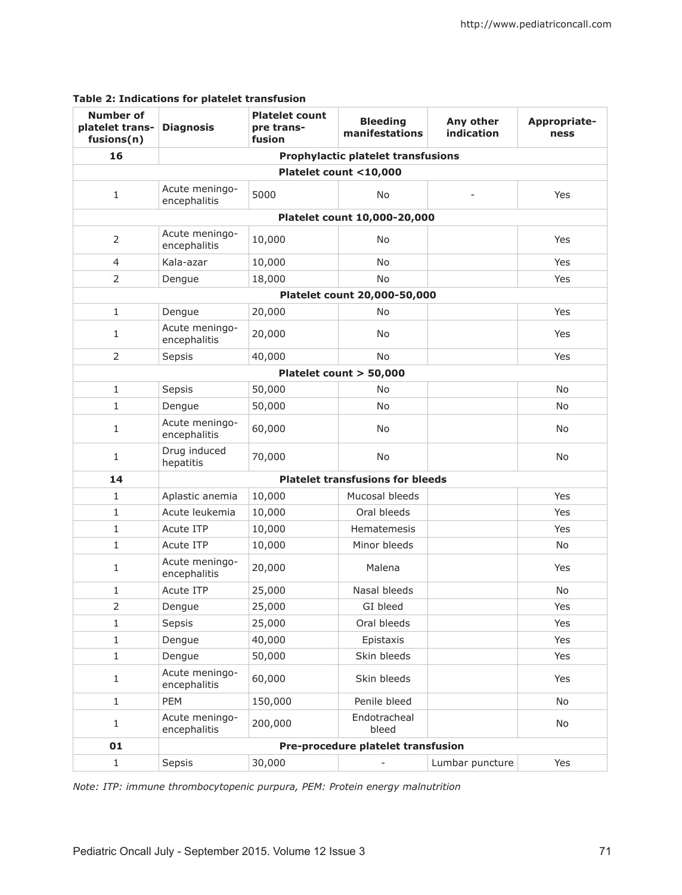| <b>Number of</b><br>platelet trans-<br>fusions(n) | <b>Diagnosis</b>                          | <b>Platelet count</b><br>pre trans-<br>fusion | <b>Bleeding</b><br>manifestations | Any other<br>indication | Appropriate-<br>ness |  |  |
|---------------------------------------------------|-------------------------------------------|-----------------------------------------------|-----------------------------------|-------------------------|----------------------|--|--|
| 16                                                | <b>Prophylactic platelet transfusions</b> |                                               |                                   |                         |                      |  |  |
| Platelet count <10,000                            |                                           |                                               |                                   |                         |                      |  |  |
| $\mathbf{1}$                                      | Acute meningo-<br>encephalitis            | 5000                                          | <b>No</b>                         |                         | Yes                  |  |  |
| Platelet count 10,000-20,000                      |                                           |                                               |                                   |                         |                      |  |  |
| $\overline{2}$                                    | Acute meningo-<br>encephalitis            | 10,000                                        | <b>No</b>                         |                         | Yes                  |  |  |
| $\overline{4}$                                    | Kala-azar                                 | 10,000                                        | <b>No</b>                         |                         | Yes                  |  |  |
| $\overline{2}$                                    | Dengue                                    | 18,000                                        | <b>No</b>                         |                         | Yes                  |  |  |
| Platelet count 20,000-50,000                      |                                           |                                               |                                   |                         |                      |  |  |
| $\mathbf{1}$                                      | Dengue                                    | 20,000                                        | <b>No</b>                         |                         | Yes                  |  |  |
| $\mathbf{1}$                                      | Acute meningo-<br>encephalitis            | 20,000                                        | No.                               |                         | Yes                  |  |  |
| 2                                                 | Sepsis                                    | 40,000                                        | <b>No</b>                         |                         | Yes                  |  |  |
|                                                   |                                           |                                               | Platelet count > 50,000           |                         |                      |  |  |
| $\mathbf{1}$                                      | Sepsis                                    | 50,000                                        | No                                |                         | <b>No</b>            |  |  |
| $\mathbf{1}$                                      | Dengue                                    | 50,000                                        | <b>No</b>                         |                         | No.                  |  |  |
| $\mathbf{1}$                                      | Acute meningo-<br>encephalitis            | 60,000                                        | No.                               |                         | No.                  |  |  |
| $\mathbf{1}$                                      | Drug induced<br>hepatitis                 | 70,000                                        | <b>No</b>                         |                         | No.                  |  |  |
| 14                                                | <b>Platelet transfusions for bleeds</b>   |                                               |                                   |                         |                      |  |  |
| $\mathbf{1}$                                      | Aplastic anemia                           | 10,000                                        | Mucosal bleeds                    |                         | Yes                  |  |  |
| $\mathbf{1}$                                      | Acute leukemia                            | 10,000                                        | Oral bleeds                       |                         | Yes                  |  |  |
| $\mathbf{1}$                                      | <b>Acute ITP</b>                          | 10,000                                        | <b>Hematemesis</b>                |                         | Yes                  |  |  |
| $\mathbf{1}$                                      | <b>Acute ITP</b>                          | 10,000                                        | Minor bleeds                      |                         | No                   |  |  |
| $\mathbf{1}$                                      | Acute meningo-<br>encephalitis            | 20,000                                        | Malena                            |                         | Yes                  |  |  |
| $\mathbf{1}$                                      | Acute ITP                                 | 25,000                                        | Nasal bleeds                      |                         | No                   |  |  |
| 2                                                 | Dengue                                    | 25,000                                        | GI bleed                          |                         | Yes                  |  |  |
| $\mathbf{1}$                                      | Sepsis                                    | 25,000                                        | Oral bleeds                       |                         | Yes                  |  |  |
| $\mathbf{1}$                                      | Dengue                                    | 40,000                                        | Epistaxis                         |                         | Yes                  |  |  |
| $1\,$                                             | Dengue                                    | 50,000                                        | Skin bleeds                       |                         | Yes                  |  |  |
| $\mathbf{1}$                                      | Acute meningo-<br>encephalitis            | 60,000                                        | Skin bleeds                       |                         | Yes                  |  |  |
| $\mathbf{1}$                                      | PEM                                       | 150,000                                       | Penile bleed                      |                         | No                   |  |  |
| 1                                                 | Acute meningo-<br>encephalitis            | 200,000                                       | Endotracheal<br>bleed             |                         | No                   |  |  |
| 01                                                | Pre-procedure platelet transfusion        |                                               |                                   |                         |                      |  |  |
| $1\,$                                             | Sepsis                                    | 30,000                                        |                                   | Lumbar puncture         | Yes                  |  |  |

# **Table 2: Indications for platelet transfusion**

*Note: ITP: immune thrombocytopenic purpura, PEM: Protein energy malnutrition*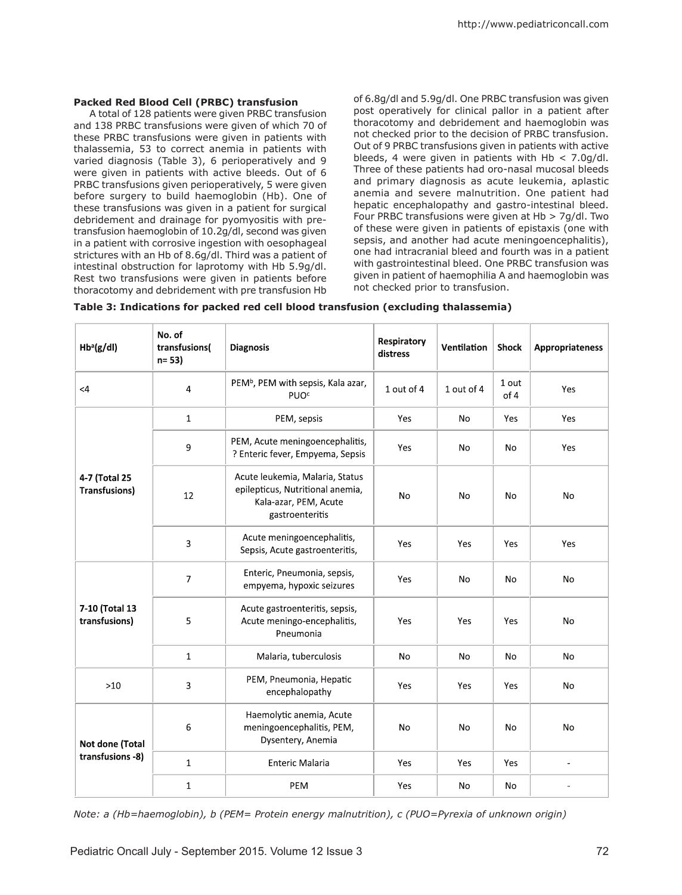### **Packed Red Blood Cell (PRBC) transfusion**

A total of 128 patients were given PRBC transfusion and 138 PRBC transfusions were given of which 70 of these PRBC transfusions were given in patients with thalassemia, 53 to correct anemia in patients with varied diagnosis (Table 3), 6 perioperatively and 9 were given in patients with active bleeds. Out of 6 PRBC transfusions given perioperatively, 5 were given before surgery to build haemoglobin (Hb). One of these transfusions was given in a patient for surgical debridement and drainage for pyomyositis with pretransfusion haemoglobin of 10.2g/dl, second was given in a patient with corrosive ingestion with oesophageal strictures with an Hb of 8.6g/dl. Third was a patient of intestinal obstruction for laprotomy with Hb 5.9g/dl. Rest two transfusions were given in patients before thoracotomy and debridement with pre transfusion Hb of 6.8g/dl and 5.9g/dl. One PRBC transfusion was given post operatively for clinical pallor in a patient after thoracotomy and debridement and haemoglobin was not checked prior to the decision of PRBC transfusion. Out of 9 PRBC transfusions given in patients with active bleeds, 4 were given in patients with  $Hb < 7.0$ g/dl. Three of these patients had oro-nasal mucosal bleeds and primary diagnosis as acute leukemia, aplastic anemia and severe malnutrition. One patient had hepatic encephalopathy and gastro-intestinal bleed. Four PRBC transfusions were given at Hb > 7g/dl. Two of these were given in patients of epistaxis (one with sepsis, and another had acute meningoencephalitis), one had intracranial bleed and fourth was in a patient with gastrointestinal bleed. One PRBC transfusion was given in patient of haemophilia A and haemoglobin was not checked prior to transfusion.

| Table 3: Indications for packed red cell blood transfusion (excluding thalassemia) |  |  |  |  |  |
|------------------------------------------------------------------------------------|--|--|--|--|--|
|------------------------------------------------------------------------------------|--|--|--|--|--|

| $Hb^a(g/dl)$                          | No. of<br>transfusions(<br>$n = 53$ | <b>Diagnosis</b>                                                                                                | Respiratory<br>distress | Ventilation    | <b>Shock</b>  | Appropriateness |
|---------------------------------------|-------------------------------------|-----------------------------------------------------------------------------------------------------------------|-------------------------|----------------|---------------|-----------------|
| $\leq 4$                              | 4                                   | PEM <sup>b</sup> , PEM with sepsis, Kala azar,<br><b>PUO<sup>c</sup></b>                                        | 1 out of 4              | 1 out of 4     | 1 out<br>of 4 | Yes             |
| 4-7 (Total 25<br><b>Transfusions)</b> | $\mathbf{1}$                        | PEM, sepsis                                                                                                     | Yes                     | <b>No</b>      | <b>Yes</b>    | Yes             |
|                                       | 9                                   | PEM, Acute meningoencephalitis,<br>? Enteric fever, Empyema, Sepsis                                             | Yes                     | No             | No            | Yes             |
|                                       | 12                                  | Acute leukemia, Malaria, Status<br>epilepticus, Nutritional anemia,<br>Kala-azar, PEM, Acute<br>gastroenteritis | No                      | No             | No            | No              |
|                                       | 3                                   | Acute meningoencephalitis,<br>Sepsis, Acute gastroenteritis,                                                    | Yes                     | Yes            | Yes           | Yes             |
| 7-10 (Total 13<br>transfusions)       | $\overline{7}$                      | Enteric, Pneumonia, sepsis,<br>empyema, hypoxic seizures                                                        | Yes                     | <b>No</b>      | No            | <b>No</b>       |
|                                       | 5                                   | Acute gastroenteritis, sepsis,<br>Acute meningo-encephalitis,<br>Pneumonia                                      | Yes                     | Yes            | Yes           | No              |
|                                       | 1                                   | Malaria, tuberculosis                                                                                           | No                      | <b>No</b>      | No            | No              |
| $>10$                                 | 3                                   | PEM, Pneumonia, Hepatic<br>encephalopathy                                                                       | Yes                     | Yes            | Yes           | No              |
| Not done (Total<br>transfusions -8)   | 6                                   | Haemolytic anemia, Acute<br>meningoencephalitis, PEM,<br>Dysentery, Anemia                                      | No                      | N <sub>o</sub> | No            | <b>No</b>       |
|                                       | $\mathbf{1}$                        | <b>Enteric Malaria</b>                                                                                          | Yes                     | Yes            | Yes           | $\blacksquare$  |
|                                       | 1                                   | PEM                                                                                                             | Yes                     | No             | No            |                 |

*Note: a (Hb=haemoglobin), b (PEM= Protein energy malnutrition), c (PUO=Pyrexia of unknown origin)*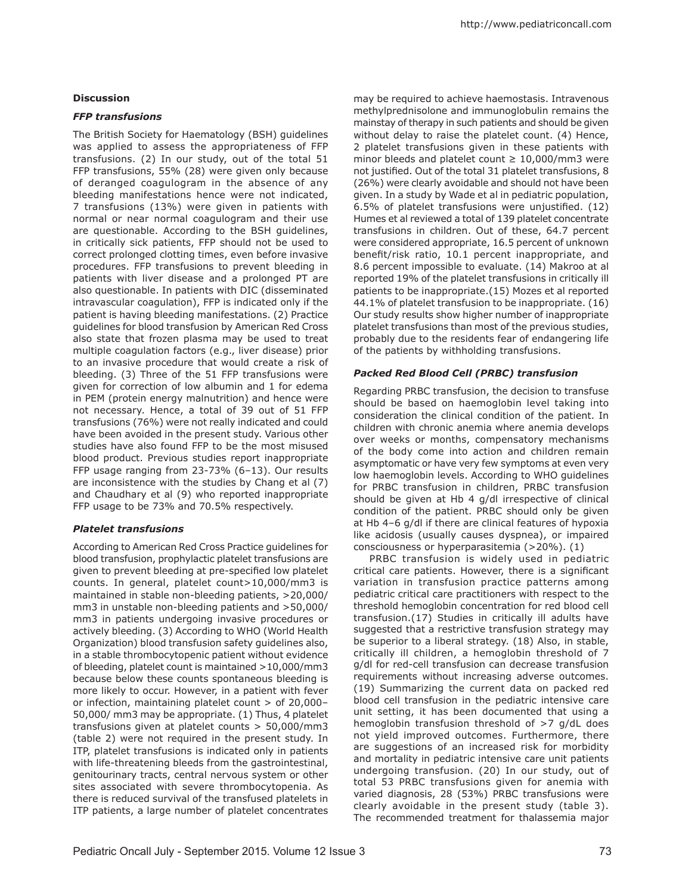### **Discussion**

### *FFP transfusions*

The British Society for Haematology (BSH) guidelines was applied to assess the appropriateness of FFP transfusions. (2) In our study, out of the total 51 FFP transfusions, 55% (28) were given only because of deranged coagulogram in the absence of any bleeding manifestations hence were not indicated, 7 transfusions (13%) were given in patients with normal or near normal coagulogram and their use are questionable. According to the BSH guidelines, in critically sick patients, FFP should not be used to correct prolonged clotting times, even before invasive procedures. FFP transfusions to prevent bleeding in patients with liver disease and a prolonged PT are also questionable. In patients with DIC (disseminated intravascular coagulation), FFP is indicated only if the patient is having bleeding manifestations. (2) Practice guidelines for blood transfusion by American Red Cross also state that frozen plasma may be used to treat multiple coagulation factors (e.g., liver disease) prior to an invasive procedure that would create a risk of bleeding. (3) Three of the 51 FFP transfusions were given for correction of low albumin and 1 for edema in PEM (protein energy malnutrition) and hence were not necessary. Hence, a total of 39 out of 51 FFP transfusions (76%) were not really indicated and could have been avoided in the present study. Various other studies have also found FFP to be the most misused blood product. Previous studies report inappropriate FFP usage ranging from 23-73% (6–13). Our results are inconsistence with the studies by Chang et al (7) and Chaudhary et al (9) who reported inappropriate FFP usage to be 73% and 70.5% respectively.

### *Platelet transfusions*

According to American Red Cross Practice guidelines for blood transfusion, prophylactic platelet transfusions are given to prevent bleeding at pre-specified low platelet counts. In general, platelet count>10,000/mm3 is maintained in stable non-bleeding patients, >20,000/ mm3 in unstable non-bleeding patients and >50,000/ mm3 in patients undergoing invasive procedures or actively bleeding. (3) According to WHO (World Health Organization) blood transfusion safety guidelines also, in a stable thrombocytopenic patient without evidence of bleeding, platelet count is maintained >10,000/mm3 because below these counts spontaneous bleeding is more likely to occur. However, in a patient with fever or infection, maintaining platelet count > of 20,000– 50,000/ mm3 may be appropriate. (1) Thus, 4 platelet transfusions given at platelet counts > 50,000/mm3 (table 2) were not required in the present study. In ITP, platelet transfusions is indicated only in patients with life-threatening bleeds from the gastrointestinal, genitourinary tracts, central nervous system or other sites associated with severe thrombocytopenia. As there is reduced survival of the transfused platelets in ITP patients, a large number of platelet concentrates may be required to achieve haemostasis. Intravenous methylprednisolone and immunoglobulin remains the mainstay of therapy in such patients and should be given without delay to raise the platelet count. (4) Hence, 2 platelet transfusions given in these patients with minor bleeds and platelet count  $\geq 10,000/\text{mm}$ 3 were not justified. Out of the total 31 platelet transfusions, 8 (26%) were clearly avoidable and should not have been given. In a study by Wade et al in pediatric population, 6.5% of platelet transfusions were unjustified. (12) Humes et al reviewed a total of 139 platelet concentrate transfusions in children. Out of these, 64.7 percent were considered appropriate, 16.5 percent of unknown benefit/risk ratio, 10.1 percent inappropriate, and 8.6 percent impossible to evaluate. (14) Makroo at al reported 19% of the platelet transfusions in critically ill patients to be inappropriate.(15) Mozes et al reported 44.1% of platelet transfusion to be inappropriate. (16) Our study results show higher number of inappropriate platelet transfusions than most of the previous studies, probably due to the residents fear of endangering life of the patients by withholding transfusions.

### *Packed Red Blood Cell (PRBC) transfusion*

Regarding PRBC transfusion, the decision to transfuse should be based on haemoglobin level taking into consideration the clinical condition of the patient. In children with chronic anemia where anemia develops over weeks or months, compensatory mechanisms of the body come into action and children remain asymptomatic or have very few symptoms at even very low haemoglobin levels. According to WHO guidelines for PRBC transfusion in children, PRBC transfusion should be given at Hb 4 g/dl irrespective of clinical condition of the patient. PRBC should only be given at Hb 4–6 g/dl if there are clinical features of hypoxia like acidosis (usually causes dyspnea), or impaired consciousness or hyperparasitemia (>20%). (1)

PRBC transfusion is widely used in pediatric critical care patients. However, there is a significant variation in transfusion practice patterns among pediatric critical care practitioners with respect to the threshold hemoglobin concentration for red blood cell transfusion.(17) Studies in critically ill adults have suggested that a restrictive transfusion strategy may be superior to a liberal strategy. (18) Also, in stable, critically ill children, a hemoglobin threshold of 7 g/dl for red-cell transfusion can decrease transfusion requirements without increasing adverse outcomes. (19) Summarizing the current data on packed red blood cell transfusion in the pediatric intensive care unit setting, it has been documented that using a hemoglobin transfusion threshold of >7 g/dL does not yield improved outcomes. Furthermore, there are suggestions of an increased risk for morbidity and mortality in pediatric intensive care unit patients undergoing transfusion. (20) In our study, out of total 53 PRBC transfusions given for anemia with varied diagnosis, 28 (53%) PRBC transfusions were clearly avoidable in the present study (table 3). The recommended treatment for thalassemia major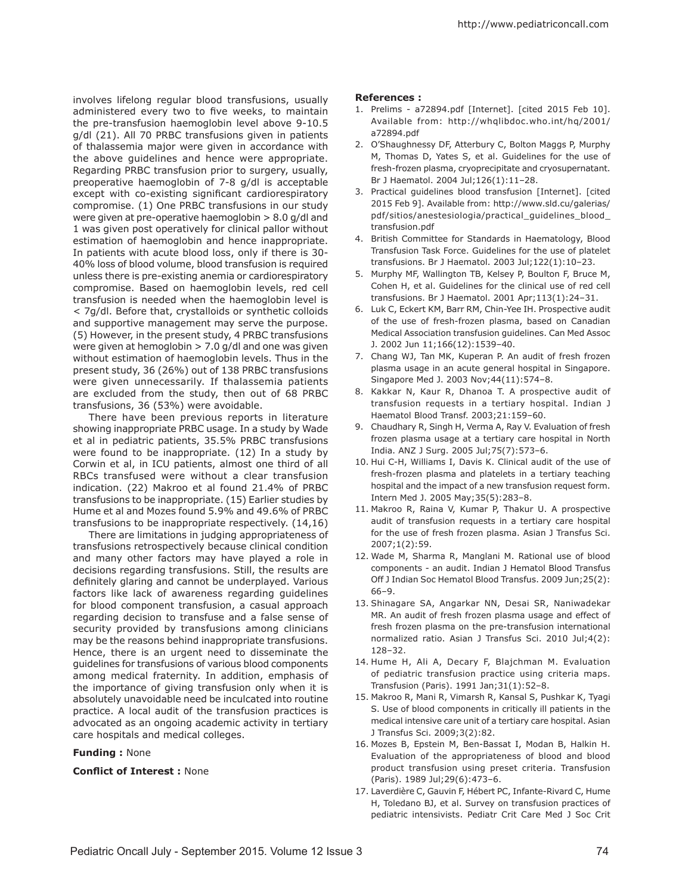involves lifelong regular blood transfusions, usually administered every two to five weeks, to maintain the pre-transfusion haemoglobin level above 9-10.5 g/dl (21). All 70 PRBC transfusions given in patients of thalassemia major were given in accordance with the above guidelines and hence were appropriate. Regarding PRBC transfusion prior to surgery, usually, preoperative haemoglobin of 7-8 g/dl is acceptable except with co-existing significant cardiorespiratory compromise. (1) One PRBC transfusions in our study were given at pre-operative haemoglobin > 8.0 g/dl and 1 was given post operatively for clinical pallor without estimation of haemoglobin and hence inappropriate. In patients with acute blood loss, only if there is 30- 40% loss of blood volume, blood transfusion is required unless there is pre-existing anemia or cardiorespiratory compromise. Based on haemoglobin levels, red cell transfusion is needed when the haemoglobin level is < 7g/dl. Before that, crystalloids or synthetic colloids and supportive management may serve the purpose. (5) However, in the present study, 4 PRBC transfusions were given at hemoglobin  $> 7.0$  g/dl and one was given without estimation of haemoglobin levels. Thus in the present study, 36 (26%) out of 138 PRBC transfusions were given unnecessarily. If thalassemia patients are excluded from the study, then out of 68 PRBC transfusions, 36 (53%) were avoidable.

There have been previous reports in literature showing inappropriate PRBC usage. In a study by Wade et al in pediatric patients, 35.5% PRBC transfusions were found to be inappropriate. (12) In a study by Corwin et al, in ICU patients, almost one third of all RBCs transfused were without a clear transfusion indication. (22) Makroo et al found 21.4% of PRBC transfusions to be inappropriate. (15) Earlier studies by Hume et al and Mozes found 5.9% and 49.6% of PRBC transfusions to be inappropriate respectively. (14,16)

There are limitations in judging appropriateness of transfusions retrospectively because clinical condition and many other factors may have played a role in decisions regarding transfusions. Still, the results are definitely glaring and cannot be underplayed. Various factors like lack of awareness regarding guidelines for blood component transfusion, a casual approach regarding decision to transfuse and a false sense of security provided by transfusions among clinicians may be the reasons behind inappropriate transfusions. Hence, there is an urgent need to disseminate the guidelines for transfusions of various blood components among medical fraternity. In addition, emphasis of the importance of giving transfusion only when it is absolutely unavoidable need be inculcated into routine practice. A local audit of the transfusion practices is advocated as an ongoing academic activity in tertiary care hospitals and medical colleges.

### **Funding :** None

### **Conflict of Interest :** None

### **References :**

- 1. Prelims a72894.pdf [Internet]. [cited 2015 Feb 10]. Available from: http://whqlibdoc.who.int/hq/2001/ a72894.pdf
- 2. O'Shaughnessy DF, Atterbury C, Bolton Maggs P, Murphy M, Thomas D, Yates S, et al. Guidelines for the use of fresh-frozen plasma, cryoprecipitate and cryosupernatant. Br J Haematol. 2004 Jul;126(1):11–28.
- 3. Practical guidelines blood transfusion [Internet]. [cited 2015 Feb 9]. Available from: http://www.sld.cu/galerias/ pdf/sitios/anestesiologia/practical\_guidelines\_blood\_ transfusion.pdf
- 4. British Committee for Standards in Haematology, Blood Transfusion Task Force. Guidelines for the use of platelet transfusions. Br J Haematol. 2003 Jul;122(1):10–23.
- 5. Murphy MF, Wallington TB, Kelsey P, Boulton F, Bruce M, Cohen H, et al. Guidelines for the clinical use of red cell transfusions. Br J Haematol. 2001 Apr;113(1):24–31.
- 6. Luk C, Eckert KM, Barr RM, Chin-Yee IH. Prospective audit of the use of fresh-frozen plasma, based on Canadian Medical Association transfusion guidelines. Can Med Assoc J. 2002 Jun 11;166(12):1539–40.
- 7. Chang WJ, Tan MK, Kuperan P. An audit of fresh frozen plasma usage in an acute general hospital in Singapore. Singapore Med J. 2003 Nov;44(11):574–8.
- 8. Kakkar N, Kaur R, Dhanoa T. A prospective audit of transfusion requests in a tertiary hospital. Indian J Haematol Blood Transf. 2003;21:159–60.
- 9. Chaudhary R, Singh H, Verma A, Ray V. Evaluation of fresh frozen plasma usage at a tertiary care hospital in North India. ANZ J Surg. 2005 Jul;75(7):573–6.
- 10. Hui C-H, Williams I, Davis K. Clinical audit of the use of fresh-frozen plasma and platelets in a tertiary teaching hospital and the impact of a new transfusion request form. Intern Med J. 2005 May;35(5):283–8.
- 11. Makroo R, Raina V, Kumar P, Thakur U. A prospective audit of transfusion requests in a tertiary care hospital for the use of fresh frozen plasma. Asian J Transfus Sci. 2007;1(2):59.
- 12. Wade M, Sharma R, Manglani M. Rational use of blood components - an audit. Indian J Hematol Blood Transfus Off J Indian Soc Hematol Blood Transfus. 2009 Jun;25(2): 66–9.
- 13. Shinagare SA, Angarkar NN, Desai SR, Naniwadekar MR. An audit of fresh frozen plasma usage and effect of fresh frozen plasma on the pre-transfusion international normalized ratio. Asian J Transfus Sci. 2010 Jul;4(2): 128–32.
- 14. Hume H, Ali A, Decary F, Blajchman M. Evaluation of pediatric transfusion practice using criteria maps. Transfusion (Paris). 1991 Jan;31(1):52–8.
- 15. Makroo R, Mani R, Vimarsh R, Kansal S, Pushkar K, Tyagi S. Use of blood components in critically ill patients in the medical intensive care unit of a tertiary care hospital. Asian J Transfus Sci. 2009;3(2):82.
- 16. Mozes B, Epstein M, Ben-Bassat I, Modan B, Halkin H. Evaluation of the appropriateness of blood and blood product transfusion using preset criteria. Transfusion (Paris). 1989 Jul;29(6):473–6.
- 17. Laverdière C, Gauvin F, Hébert PC, Infante-Rivard C, Hume H, Toledano BJ, et al. Survey on transfusion practices of pediatric intensivists. Pediatr Crit Care Med J Soc Crit